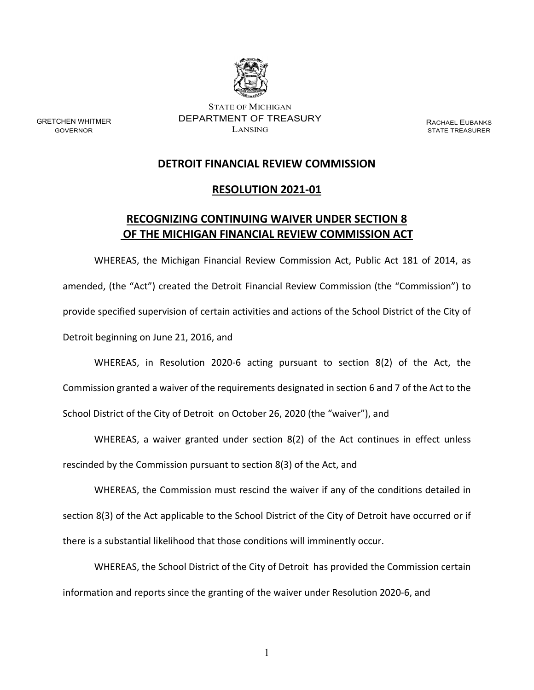

STATE OF MICHIGAN DEPARTMENT OF TREASURY LANSING

GRETCHEN WHITMER GOVERNOR

RACHAEL EUBANKS STATE TREASURER

## **DETROIT FINANCIAL REVIEW COMMISSION**

## **RESOLUTION 2021-01**

## **RECOGNIZING CONTINUING WAIVER UNDER SECTION 8 OF THE MICHIGAN FINANCIAL REVIEW COMMISSION ACT**

WHEREAS, the Michigan Financial Review Commission Act, Public Act 181 of 2014, as amended, (the "Act") created the Detroit Financial Review Commission (the "Commission") to provide specified supervision of certain activities and actions of the School District of the City of Detroit beginning on June 21, 2016, and

WHEREAS, in Resolution 2020-6 acting pursuant to section 8(2) of the Act, the Commission granted a waiver of the requirements designated in section 6 and 7 of the Act to the School District of the City of Detroit on October 26, 2020 (the "waiver"), and

WHEREAS, a waiver granted under section 8(2) of the Act continues in effect unless rescinded by the Commission pursuant to section 8(3) of the Act, and

WHEREAS, the Commission must rescind the waiver if any of the conditions detailed in section 8(3) of the Act applicable to the School District of the City of Detroit have occurred or if there is a substantial likelihood that those conditions will imminently occur.

WHEREAS, the School District of the City of Detroit has provided the Commission certain information and reports since the granting of the waiver under Resolution 2020-6, and